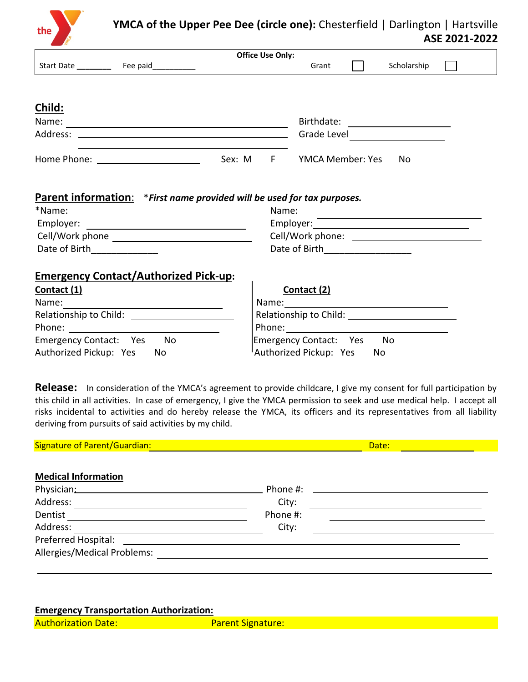

|                                                                                                                                                                                                                                |                                                                         |        | <b>Office Use Only:</b> |                         |             |  |
|--------------------------------------------------------------------------------------------------------------------------------------------------------------------------------------------------------------------------------|-------------------------------------------------------------------------|--------|-------------------------|-------------------------|-------------|--|
| Start Date                                                                                                                                                                                                                     | Fee paid                                                                |        |                         | Grant                   | Scholarship |  |
|                                                                                                                                                                                                                                |                                                                         |        |                         |                         |             |  |
|                                                                                                                                                                                                                                |                                                                         |        |                         |                         |             |  |
| Child:                                                                                                                                                                                                                         |                                                                         |        |                         |                         |             |  |
| Name:                                                                                                                                                                                                                          |                                                                         |        |                         | Birthdate:              |             |  |
| Address:                                                                                                                                                                                                                       |                                                                         |        |                         | Grade Level             |             |  |
|                                                                                                                                                                                                                                |                                                                         |        |                         |                         |             |  |
| Home Phone: The Contract of the Contract of the Contract of the Contract of the Contract of the Contract of the Contract of the Contract of the Contract of the Contract of the Contract of the Contract of the Contract of th |                                                                         | Sex: M | F.                      | <b>YMCA Member: Yes</b> | No          |  |
|                                                                                                                                                                                                                                |                                                                         |        |                         |                         |             |  |
|                                                                                                                                                                                                                                |                                                                         |        |                         |                         |             |  |
|                                                                                                                                                                                                                                | Parent information: *First name provided will be used for tax purposes. |        |                         |                         |             |  |
| *Name:                                                                                                                                                                                                                         | Name:                                                                   |        |                         |                         |             |  |

| ivame:           |  |  |
|------------------|--|--|
| Employer:        |  |  |
| Cell/Work phone: |  |  |
| Date of Birth    |  |  |
|                  |  |  |

## **Emergency Contact/Authorized Pick-up:**

| Contact (1)                  | Contact (2)                  |
|------------------------------|------------------------------|
| Name:                        | Name:                        |
| Relationship to Child:       | Relationship to Child:       |
| Phone:                       | Phone:                       |
| Emergency Contact: Yes<br>No | Emergency Contact: Yes<br>No |
| Authorized Pickup: Yes<br>Nο | Authorized Pickup: Yes<br>No |

**Release:** In consideration of the YMCA's agreement to provide childcare, I give my consent for full participation by this child in all activities. In case of emergency, I give the YMCA permission to seek and use medical help. I accept all risks incidental to activities and do hereby release the YMCA, its officers and its representatives from all liability deriving from pursuits of said activities by my child.

| <b>Signature of Parent/Guardian:</b> | Date:    |
|--------------------------------------|----------|
|                                      |          |
| <b>Medical Information</b>           |          |
| Physician: 2008                      | Phone #: |
| Address:                             | City:    |
| Dentist                              | Phone #: |
| Address:                             | City:    |
| Preferred Hospital:                  |          |
| Allergies/Medical Problems:          |          |
|                                      |          |

### **Emergency Transportation Authorization:**

Authorization Date: Parent Signature: